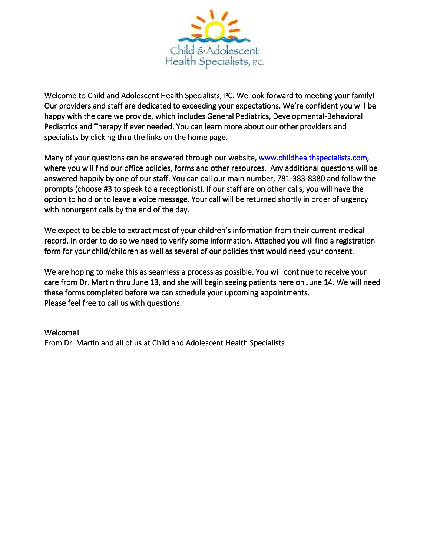

Welcome to Child and Adolescent Health Specialists, PC. We look forward to meeting your family! Our providers and staff are dedicated to exceeding your expectations. We're confident you will be happy with the care we provide, which includes General Pediatrics, Developmental-Behavioral Pediatrics and Therapy if ever needed. You can learn more about our other providers and specialists by clicking thru the links on the home page.

Many of your questions can be answered through our website, www.childhealthspecialists.com, where you will find our office policies, forms and other resources. Any additional questions will be answered happily by one of our staff. You can call our main number, 781-383-8380 and follow the prompts (choose #3 to speak to a receptionist). If our staff are on other calls, you will have the option to hold or to leave a voice message. Your call will be returned shortly in order of urgency with nonurgent calls by the end of the day.

We expect to be able to extract most of your children's information from their current medical record. In order to do so we need to verify some information. Attached you will find a registration form for your child/children as well as several of our policies that would need your consent.

We are hoping to make this as seamless a process as possible. You will continue to receive your care from Dr. Martin thru June 13, and she will begin seeing patients here on June 14. We will need these forms completed before we can schedule your upcoming appointments. Please feel free to call us with questions.

Welcome! From Dr. Martin and all of us at Child and Adolescent Health Specialists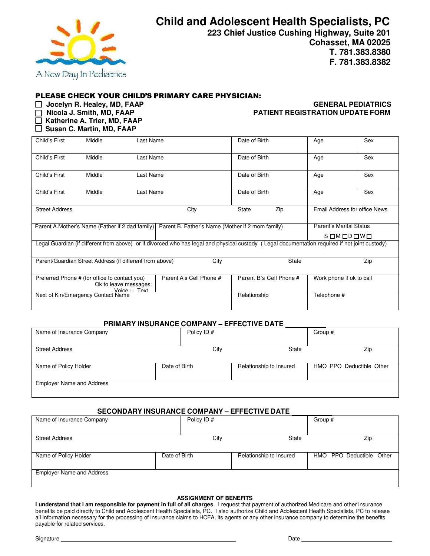

**Child and Adolescent Health Specialists, PC**

**223 Chief Justice Cushing Highway, Suite 201 Cohasset, MA 02025 T. 781.383.8380 F. 781.383.8382**

### PLEASE CHECK YOUR CHILD'S PRIMARY CARE PHYSICIAN:

 **Katherine A. Trier, MD, FAAP** 

 **Susan C. Martin, MD, FAAP** 

### **Jocelyn R. Healey, MD, FAAP GENERAL PEDIATRICS PATIENT REGISTRATION UPDATE FORM**

| Child's First                                                                                                                                  | Middle | Last Name |                                                  | Date of Birth                  | Age                           | Sex |  |  |  |
|------------------------------------------------------------------------------------------------------------------------------------------------|--------|-----------|--------------------------------------------------|--------------------------------|-------------------------------|-----|--|--|--|
| Child's First                                                                                                                                  | Middle | Last Name |                                                  | Date of Birth                  | Age                           | Sex |  |  |  |
| Child's First                                                                                                                                  | Middle | Last Name |                                                  | Date of Birth                  | Age                           | Sex |  |  |  |
| Child's First                                                                                                                                  | Middle | Last Name |                                                  | Date of Birth                  | Age                           | Sex |  |  |  |
| <b>Street Address</b>                                                                                                                          |        |           | City                                             | Zip<br>State                   | Email Address for office News |     |  |  |  |
| Parent A. Mother's Name (Father if 2 dad family)                                                                                               |        |           | Parent B. Father's Name (Mother if 2 mom family) | <b>Parent's Marital Status</b> |                               |     |  |  |  |
|                                                                                                                                                |        |           |                                                  | SOMODOWO                       |                               |     |  |  |  |
| Legal Guardian (if different from above) or if divorced who has legal and physical custody (Legal documentation required if not joint custody) |        |           |                                                  |                                |                               |     |  |  |  |
| City<br><b>State</b><br>Zip<br>Parent/Guardian Street Address (if different from above)                                                        |        |           |                                                  |                                |                               |     |  |  |  |
| Preferred Phone # (for office to contact you)<br>Ok to leave messages:<br>Text<br>Voice                                                        |        |           | Parent A's Cell Phone #                          | Parent B's Cell Phone #        | Work phone if ok to call      |     |  |  |  |
| Next of Kin/Emergency Contact Name                                                                                                             |        |           |                                                  | Relationship                   | Telephone #                   |     |  |  |  |

#### **PRIMARY INSURANCE COMPANY – EFFECTIVE DATE**

| Name of Insurance Company        |               | Policy ID# |                         | Group #                  |  |
|----------------------------------|---------------|------------|-------------------------|--------------------------|--|
|                                  |               |            |                         |                          |  |
| <b>Street Address</b>            |               | City       | State                   | Zip                      |  |
|                                  |               |            |                         |                          |  |
| Name of Policy Holder            | Date of Birth |            | Relationship to Insured | HMO PPO Deductible Other |  |
|                                  |               |            |                         |                          |  |
| <b>Employer Name and Address</b> |               |            |                         |                          |  |
|                                  |               |            |                         |                          |  |

#### **SECONDARY INSURANCE COMPANY – EFFECTIVE DATE**

| Name of Insurance Company        |               | Policy ID# |                         | Group #                  |     |  |
|----------------------------------|---------------|------------|-------------------------|--------------------------|-----|--|
|                                  |               |            |                         |                          |     |  |
| <b>Street Address</b>            |               | City       | State                   |                          | Zip |  |
|                                  |               |            |                         |                          |     |  |
| Name of Policy Holder            | Date of Birth |            | Relationship to Insured | HMO PPO Deductible Other |     |  |
|                                  |               |            |                         |                          |     |  |
| <b>Employer Name and Address</b> |               |            |                         |                          |     |  |
|                                  |               |            |                         |                          |     |  |

#### **ASSIGNMENT OF BENEFITS**

**I understand that I am responsible for payment in full of all charges**. I request that payment of authorized Medicare and other insurance benefits be paid directly to Child and Adolescent Health Specialists, PC. I also authorize Child and Adolescent Health Specialists, PC to release all information necessary for the processing of insurance claims to HCFA, its agents or any other insurance company to determine the benefits payable for related services.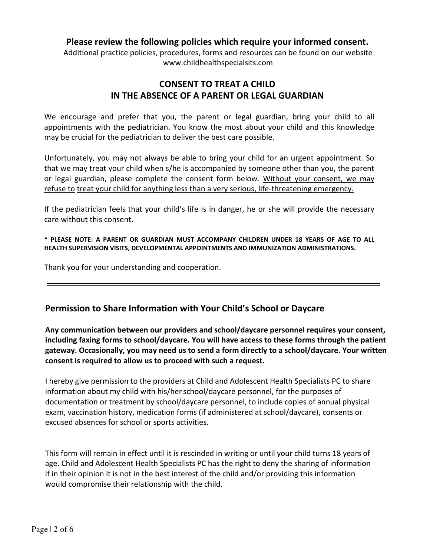### **Please review the following policies which require your informed consent.**

Additional practice policies, procedures, forms and resources can be found on our website www.childhealthspecialsits.com

# **CONSENT TO TREAT A CHILD IN THE ABSENCE OF A PARENT OR LEGAL GUARDIAN**

We encourage and prefer that you, the parent or legal guardian, bring your child to all appointments with the pediatrician. You know the most about your child and this knowledge may be crucial for the pediatrician to deliver the best care possible.

Unfortunately, you may not always be able to bring your child for an urgent appointment. So that we may treat your child when s/he is accompanied by someone other than you, the parent or legal guardian, please complete the consent form below. Without your consent, we may refuse to treat your child for anything less than a very serious, life-threatening emergency.

If the pediatrician feels that your child's life is in danger, he or she will provide the necessary care without this consent.

**\* PLEASE NOTE: A PARENT OR GUARDIAN MUST ACCOMPANY CHILDREN UNDER 18 YEARS OF AGE TO ALL HEALTH SUPERVISION VISITS, DEVELOPMENTAL APPOINTMENTS AND IMMUNIZATION ADMINISTRATIONS.** 

Thank you for your understanding and cooperation.

# **Permission to Share Information with Your Child's School or Daycare**

**Any communication between our providers and school/daycare personnel requires your consent, including faxing forms to school/daycare. You will have access to these forms through the patient gateway. Occasionally, you may need us to send a form directly to a school/daycare. Your written consent is required to allow us to proceed with such a request.** 

I hereby give permission to the providers at Child and Adolescent Health Specialists PC to share information about my child with his/her school/daycare personnel, for the purposes of documentation or treatment by school/daycare personnel, to include copies of annual physical exam, vaccination history, medication forms (if administered at school/daycare), consents or excused absences for school or sports activities.

This form will remain in effect until it is rescinded in writing or until your child turns 18 years of age. Child and Adolescent Health Specialists PC has the right to deny the sharing of information if in their opinion it is not in the best interest of the child and/or providing this information would compromise their relationship with the child.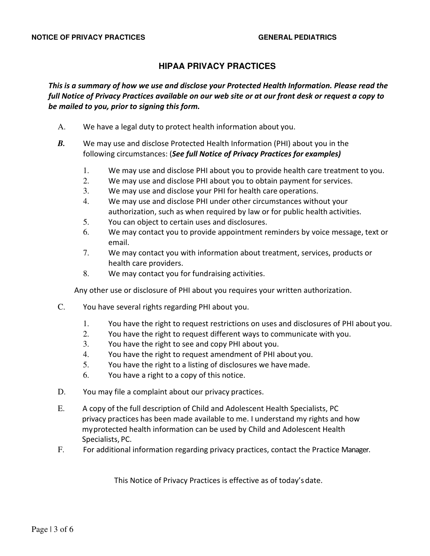## **HIPAA PRIVACY PRACTICES**

*This is a summary of how we use and disclose your Protected Health Information. Please read the full Notice of Privacy Practices available on our web site or at our front desk or request a copy to be mailed to you, prior to signing this form.* 

- A. We have a legal duty to protect health information about you.
- *B.* We may use and disclose Protected Health Information (PHI) about you in the following circumstances: (*See full Notice of Privacy Practices for examples)* 
	- 1. We may use and disclose PHI about you to provide health care treatment to you.
	- 2. We may use and disclose PHI about you to obtain payment for services.
	- 3. We may use and disclose your PHI for health care operations.
	- 4. We may use and disclose PHI under other circumstances without your authorization, such as when required by law or for public health activities.
	- 5. You can object to certain uses and disclosures.
	- 6. We may contact you to provide appointment reminders by voice message, text or email.
	- 7. We may contact you with information about treatment, services, products or health care providers.
	- 8. We may contact you for fundraising activities.

Any other use or disclosure of PHI about you requires your written authorization.

- C. You have several rights regarding PHI about you.
	- 1. You have the right to request restrictions on uses and disclosures of PHI about you.
	- 2. You have the right to request different ways to communicate with you.
	- 3. You have the right to see and copy PHI about you.
	- 4. You have the right to request amendment of PHI about you.
	- 5. You have the right to a listing of disclosures we have made.
	- 6. You have a right to a copy of this notice.
- D. You may file a complaint about our privacy practices.
- E. A copy of the full description of Child and Adolescent Health Specialists, PC privacy practices has been made available to me. I understand my rights and how my protected health information can be used by Child and Adolescent Health Specialists, PC.
- F. For additional information regarding privacy practices, contact the Practice Manager.

This Notice of Privacy Practices is effective as of today's date.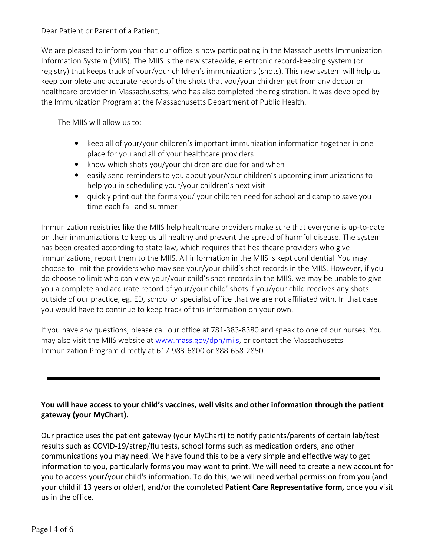### Dear Patient or Parent of a Patient,

We are pleased to inform you that our office is now participating in the Massachusetts Immunization Information System (MIIS). The MIIS is the new statewide, electronic record-keeping system (or registry) that keeps track of your/your children's immunizations (shots). This new system will help us keep complete and accurate records of the shots that you/your children get from any doctor or healthcare provider in Massachusetts, who has also completed the registration. It was developed by the Immunization Program at the Massachusetts Department of Public Health.

The MIIS will allow us to:

- keep all of your/your children's important immunization information together in one place for you and all of your healthcare providers
- know which shots you/your children are due for and when
- easily send reminders to you about your/your children's upcoming immunizations to help you in scheduling your/your children's next visit
- quickly print out the forms you/ your children need for school and camp to save you time each fall and summer

Immunization registries like the MIIS help healthcare providers make sure that everyone is up-to-date on their immunizations to keep us all healthy and prevent the spread of harmful disease. The system has been created according to state law, which requires that healthcare providers who give immunizations, report them to the MIIS. All information in the MIIS is kept confidential. You may choose to limit the providers who may see your/your child's shot records in the MIIS. However, if you do choose to limit who can view your/your child's shot records in the MIIS, we may be unable to give you a complete and accurate record of your/your child' shots if you/your child receives any shots outside of our practice, eg. ED, school or specialist office that we are not affiliated with. In that case you would have to continue to keep track of this information on your own.

If you have any questions, please call our office at 781-383-8380 and speak to one of our nurses. You may also visit the MIIS website at www.mass.gov/dph/miis, or contact the Massachusetts Immunization Program directly at 617-983-6800 or 888-658-2850.

## **You will have access to your child's vaccines, well visits and other information through the patient gateway (your MyChart).**

Our practice uses the patient gateway (your MyChart) to notify patients/parents of certain lab/test results such as COVID-19/strep/flu tests, school forms such as medication orders, and other communications you may need. We have found this to be a very simple and effective way to get information to you, particularly forms you may want to print. We will need to create a new account for you to access your/your child's information. To do this, we will need verbal permission from you (and your child if 13 years or older), and/or the completed **Patient Care Representative form,** once you visit us in the office.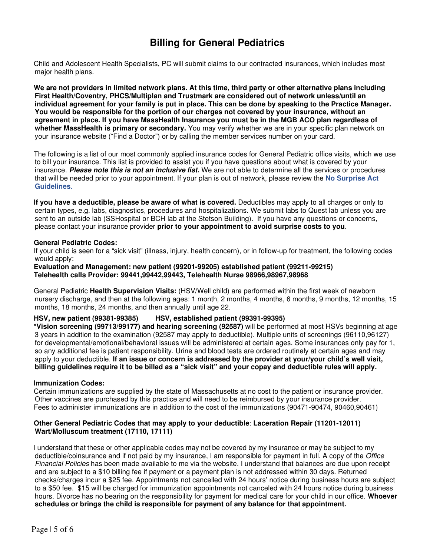# **Billing for General Pediatrics**

Child and Adolescent Health Specialists, PC will submit claims to our contracted insurances, which includes most major health plans.

**We are not providers in limited network plans. At this time, third party or other alternative plans including First Health/Coventry, PHCS/Multiplan and Trustmark are considered out of network unless/until an individual agreement for your family is put in place. This can be done by speaking to the Practice Manager. You would be responsible for the portion of our charges not covered by your insurance, without an agreement in place. If you have MassHealth Insurance you must be in the MGB ACO plan regardless of whether MassHealth is primary or secondary.** You may verify whether we are in your specific plan network on your insurance website ("Find a Doctor") or by calling the member services number on your card.

The following is a list of our most commonly applied insurance codes for General Pediatric office visits, which we use to bill your insurance. This list is provided to assist you if you have questions about what is covered by your insurance. **Please note this is not an inclusive list.** We are not able to determine all the services or procedures that will be needed prior to your appointment. If your plan is out of network, please review the **No Surprise Act Guidelines**.

**If you have a deductible, please be aware of what is covered.** Deductibles may apply to all charges or only to certain types, e.g. labs, diagnostics, procedures and hospitalizations. We submit labs to Quest lab unless you are sent to an outside lab (SSHospital or BCH lab at the Stetson Building). If you have any questions or concerns, please contact your insurance provider **prior to your appointment to avoid surprise costs to you**.

#### **General Pediatric Codes:**

If your child is seen for a "sick visit" (illness, injury, health concern), or in follow-up for treatment, the following codes would apply:

**Evaluation and Management: new patient (99201-99205) established patient (99211-99215) Telehealth calls Provider: 99441,99442,99443, Telehealth Nurse 98966,98967,98968**

General Pediatric **Health Supervision Visits:** (HSV/Well child) are performed within the first week of newborn nursery discharge, and then at the following ages: 1 month, 2 months, 4 months, 6 months, 9 months, 12 months, 15 months, 18 months, 24 months, and then annually until age 22.

### **HSV, new patient (99381-99385) HSV, established patient (99391-99395)**

**\*Vision screening (99713/99177) and hearing screening (92587)** will be performed at most HSVs beginning at age 3 years in addition to the examination (92587 may apply to deductible). Multiple units of screenings (96110,96127) for developmental/emotional/behavioral issues will be administered at certain ages. Some insurances only pay for 1, so any additional fee is patient responsibility. Urine and blood tests are ordered routinely at certain ages and may apply to your deductible. **If an issue or concern is addressed by the provider at your/your child's well visit, billing guidelines require it to be billed as a "sick visit" and your copay and deductible rules will apply.**

#### **Immunization Codes:**

Certain immunizations are supplied by the state of Massachusetts at no cost to the patient or insurance provider. Other vaccines are purchased by this practice and will need to be reimbursed by your insurance provider. Fees to administer immunizations are in addition to the cost of the immunizations (90471-90474, 90460,90461)

#### **Other General Pediatric Codes that may apply to your deductible**: **Laceration Repair (11201-12011) Wart/Molluscum treatment (17110, 17111)**

I understand that these or other applicable codes may not be covered by my insurance or may be subject to my deductible/coinsurance and if not paid by my insurance, I am responsible for payment in full. A copy of the *Office* Financial Policies has been made available to me via the website. I understand that balances are due upon receipt and are subject to a \$10 billing fee if payment or a payment plan is not addressed within 30 days. Returned checks/charges incur a \$25 fee. Appointments not cancelled with 24 hours' notice during business hours are subject to a \$50 fee. \$15 will be charged for immunization appointments not canceled with 24 hours notice during business hours. Divorce has no bearing on the responsibility for payment for medical care for your child in our office. **Whoever schedules or brings the child is responsible for payment of any balance for that appointment.**